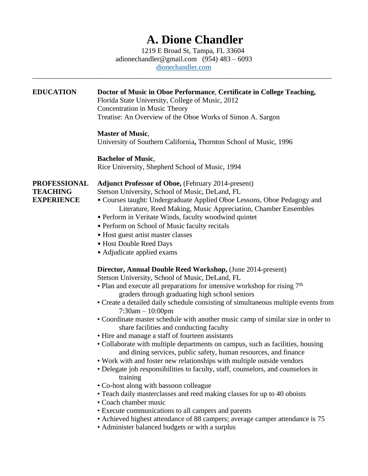# **A. Dione Chandler**

 1219 E Broad St, Tampa, FL 33604 [adionechandler@gmail.com](mailto:adionechandler@gmail.com) (954) 483 – 6093 [dionechandler.com](https://www.dionechandler.com/)

\_\_\_\_\_\_\_\_\_\_\_\_\_\_\_\_\_\_\_\_\_\_\_\_\_\_\_\_\_\_\_\_\_\_\_\_\_\_\_\_\_\_\_\_\_\_\_\_\_\_\_\_\_\_\_\_\_\_\_\_\_\_\_\_\_\_\_\_\_\_\_\_\_\_\_\_\_\_\_\_\_\_\_

| <b>EDUCATION</b>                                            | Doctor of Music in Oboe Performance, Certificate in College Teaching,<br>Florida State University, College of Music, 2012<br>Concentration in Music Theory<br>Treatise: An Overview of the Oboe Works of Simon A. Sargon                                                                                                                                                                                                                                                                                                                                                                                                                                                                                                                                                                                                                                                                                                                                                                                                                                                                                                                                                                                                      |
|-------------------------------------------------------------|-------------------------------------------------------------------------------------------------------------------------------------------------------------------------------------------------------------------------------------------------------------------------------------------------------------------------------------------------------------------------------------------------------------------------------------------------------------------------------------------------------------------------------------------------------------------------------------------------------------------------------------------------------------------------------------------------------------------------------------------------------------------------------------------------------------------------------------------------------------------------------------------------------------------------------------------------------------------------------------------------------------------------------------------------------------------------------------------------------------------------------------------------------------------------------------------------------------------------------|
|                                                             | <b>Master of Music,</b><br>University of Southern California, Thornton School of Music, 1996                                                                                                                                                                                                                                                                                                                                                                                                                                                                                                                                                                                                                                                                                                                                                                                                                                                                                                                                                                                                                                                                                                                                  |
|                                                             | <b>Bachelor of Music,</b><br>Rice University, Shepherd School of Music, 1994                                                                                                                                                                                                                                                                                                                                                                                                                                                                                                                                                                                                                                                                                                                                                                                                                                                                                                                                                                                                                                                                                                                                                  |
| <b>PROFESSIONAL</b><br><b>TEACHING</b><br><b>EXPERIENCE</b> | <b>Adjunct Professor of Oboe, (February 2014-present)</b><br>Stetson University, School of Music, DeLand, FL<br>• Courses taught: Undergraduate Applied Oboe Lessons, Oboe Pedagogy and<br>Literature, Reed Making, Music Appreciation, Chamber Ensembles<br>• Perform in Veritate Winds, faculty woodwind quintet<br>• Perform on School of Music faculty recitals<br>• Host guest artist master classes<br>• Host Double Reed Days<br>• Adjudicate applied exams                                                                                                                                                                                                                                                                                                                                                                                                                                                                                                                                                                                                                                                                                                                                                            |
|                                                             | <b>Director, Annual Double Reed Workshop, (June 2014-present)</b><br>Stetson University, School of Music, DeLand, FL<br>• Plan and execute all preparations for intensive workshop for rising $7th$<br>graders through graduating high school seniors<br>• Create a detailed daily schedule consisting of simultaneous multiple events from<br>$7:30am - 10:00pm$<br>• Coordinate master schedule with another music camp of similar size in order to<br>share facilities and conducting faculty<br>• Hire and manage a staff of fourteen assistants<br>• Collaborate with multiple departments on campus, such as facilities, housing<br>and dining services, public safety, human resources, and finance<br>• Work with and foster new relationships with multiple outside vendors<br>• Delegate job responsibilities to faculty, staff, counselors, and counselors in<br>training<br>• Co-host along with bassoon colleague<br>• Teach daily masterclasses and reed making classes for up to 40 oboists<br>• Coach chamber music<br>• Execute communications to all campers and parents<br>• Achieved highest attendance of 88 campers; average camper attendance is 75<br>• Administer balanced budgets or with a surplus |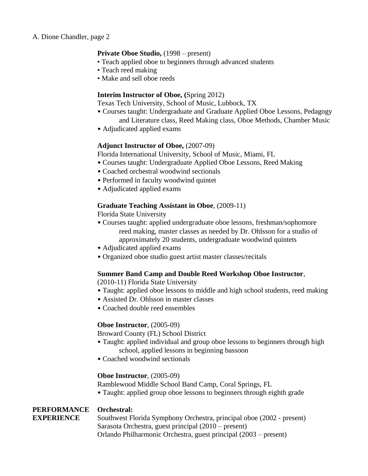## **Private Oboe Studio,** (1998 – present)

- Teach applied oboe to beginners through advanced students
- Teach reed making
- Make and sell oboe reeds

## **Interim Instructor of Oboe, (**Spring 2012)

Texas Tech University, School of Music, Lubbock, TX

- Courses taught: Undergraduate and Graduate Applied Oboe Lessons, Pedagogy and Literature class, Reed Making class, Oboe Methods, Chamber Music
- Adjudicated applied exams

## **Adjunct Instructor of Oboe,** (2007-09)

Florida International University, School of Music, Miami, FL

- Courses taught: Undergraduate Applied Oboe Lessons, Reed Making
- Coached orchestral woodwind sectionals
- Performed in faculty woodwind quintet
- Adjudicated applied exams

#### **Graduate Teaching Assistant in Oboe**, (2009-11)

Florida State University

- Courses taught: applied undergraduate oboe lessons, freshman/sophomore reed making, master classes as needed by Dr. Ohlsson for a studio of approximately 20 students, undergraduate woodwind quintets
- Adjudicated applied exams
- Organized oboe studio guest artist master classes/recitals

#### **Summer Band Camp and Double Reed Workshop Oboe Instructor**,

(2010-11) Florida State University

- Taught: applied oboe lessons to middle and high school students, reed making
- Assisted Dr. Ohlsson in master classes
- Coached double reed ensembles

#### **Oboe Instructor**, (2005-09)

Broward County (FL) School District

- Taught: applied individual and group oboe lessons to beginners through high school, applied lessons in beginning bassoon
- Coached woodwind sectionals

#### **Oboe Instructor**, (2005-09)

Ramblewood Middle School Band Camp, Coral Springs, FL

• Taught: applied group oboe lessons to beginners through eighth grade

## **PERFORMANCE Orchestral:**

**EXPERIENCE** Southwest Florida Symphony Orchestra, principal oboe (2002 - present) Sarasota Orchestra, guest principal (2010 – present) Orlando Philharmonic Orchestra, guest principal (2003 – present)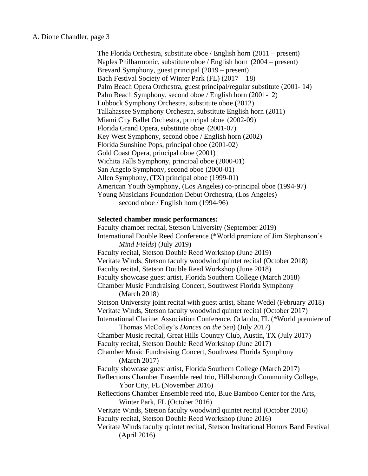The Florida Orchestra, substitute oboe / English horn (2011 – present) Naples Philharmonic, substitute oboe / English horn (2004 – present) Brevard Symphony, guest principal (2019 – present) Bach Festival Society of Winter Park (FL) (2017 – 18) Palm Beach Opera Orchestra, guest principal/regular substitute (2001- 14) Palm Beach Symphony, second oboe / English horn (2001-12) Lubbock Symphony Orchestra, substitute oboe (2012) Tallahassee Symphony Orchestra, substitute English horn (2011) Miami City Ballet Orchestra, principal oboe (2002-09) Florida Grand Opera, substitute oboe (2001-07) Key West Symphony, second oboe / English horn (2002) Florida Sunshine Pops, principal oboe (2001-02) Gold Coast Opera, principal oboe (2001) Wichita Falls Symphony, principal oboe (2000-01) San Angelo Symphony, second oboe (2000-01) Allen Symphony, (TX) principal oboe (1999-01) American Youth Symphony, (Los Angeles) co-principal oboe (1994-97) Young Musicians Foundation Debut Orchestra, (Los Angeles) second oboe / English horn (1994-96)

#### **Selected chamber music performances:**

Faculty chamber recital, Stetson University (September 2019) International Double Reed Conference (\*World premiere of Jim Stephenson's *Mind Fields*) (July 2019) Faculty recital, Stetson Double Reed Workshop (June 2019) Veritate Winds, Stetson faculty woodwind quintet recital (October 2018) Faculty recital, Stetson Double Reed Workshop (June 2018) Faculty showcase guest artist, Florida Southern College (March 2018) Chamber Music Fundraising Concert, Southwest Florida Symphony (March 2018) Stetson University joint recital with guest artist, Shane Wedel (February 2018) Veritate Winds, Stetson faculty woodwind quintet recital (October 2017) International Clarinet Association Conference, Orlando, FL (\*World premiere of Thomas McColley's *Dances on the Sea*) (July 2017) Chamber Music recital, Great Hills Country Club, Austin, TX (July 2017) Faculty recital, Stetson Double Reed Workshop (June 2017) Chamber Music Fundraising Concert, Southwest Florida Symphony (March 2017) Faculty showcase guest artist, Florida Southern College (March 2017) Reflections Chamber Ensemble reed trio, Hillsborough Community College, Ybor City, FL (November 2016) Reflections Chamber Ensemble reed trio, Blue Bamboo Center for the Arts, Winter Park, FL (October 2016) Veritate Winds, Stetson faculty woodwind quintet recital (October 2016) Faculty recital, Stetson Double Reed Workshop (June 2016) Veritate Winds faculty quintet recital, Stetson Invitational Honors Band Festival (April 2016)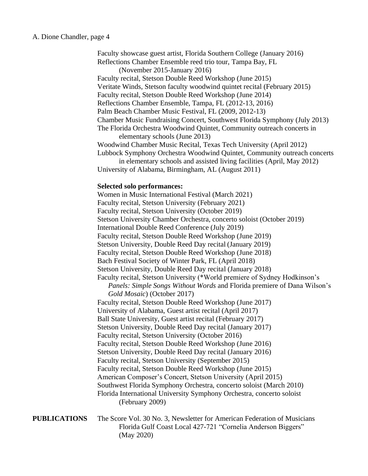Faculty showcase guest artist, Florida Southern College (January 2016) Reflections Chamber Ensemble reed trio tour, Tampa Bay, FL (November 2015-January 2016) Faculty recital, Stetson Double Reed Workshop (June 2015) Veritate Winds, Stetson faculty woodwind quintet recital (February 2015) Faculty recital, Stetson Double Reed Workshop (June 2014) Reflections Chamber Ensemble, Tampa, FL (2012-13, 2016) Palm Beach Chamber Music Festival, FL (2009, 2012-13) Chamber Music Fundraising Concert, Southwest Florida Symphony (July 2013) The Florida Orchestra Woodwind Quintet, Community outreach concerts in elementary schools (June 2013) Woodwind Chamber Music Recital, Texas Tech University (April 2012) Lubbock Symphony Orchestra Woodwind Quintet, Community outreach concerts in elementary schools and assisted living facilities (April, May 2012) University of Alabama, Birmingham, AL (August 2011) **Selected solo performances:** Women in Music International Festival (March 2021) Faculty recital, Stetson University (February 2021) Faculty recital, Stetson University (October 2019) Stetson University Chamber Orchestra, concerto soloist (October 2019) International Double Reed Conference (July 2019) Faculty recital, Stetson Double Reed Workshop (June 2019) Stetson University, Double Reed Day recital (January 2019) Faculty recital, Stetson Double Reed Workshop (June 2018) Bach Festival Society of Winter Park, FL (April 2018) Stetson University, Double Reed Day recital (January 2018) Faculty recital, Stetson University (\*World premiere of Sydney Hodkinson's *Panels: Simple Songs Without Words* and Florida premiere of Dana Wilson's *Gold Mosaic*) (October 2017) Faculty recital, Stetson Double Reed Workshop (June 2017) University of Alabama, Guest artist recital (April 2017) Ball State University, Guest artist recital (February 2017) Stetson University, Double Reed Day recital (January 2017) Faculty recital, Stetson University (October 2016) Faculty recital, Stetson Double Reed Workshop (June 2016) Stetson University, Double Reed Day recital (January 2016) Faculty recital, Stetson University (September 2015) Faculty recital, Stetson Double Reed Workshop (June 2015) American Composer's Concert, Stetson University (April 2015) Southwest Florida Symphony Orchestra, concerto soloist (March 2010) Florida International University Symphony Orchestra, concerto soloist (February 2009)

# **PUBLICATIONS** The Score Vol. 30 No. 3, Newsletter for American Federation of Musicians Florida Gulf Coast Local 427-721 "Cornelia Anderson Biggers" (May 2020)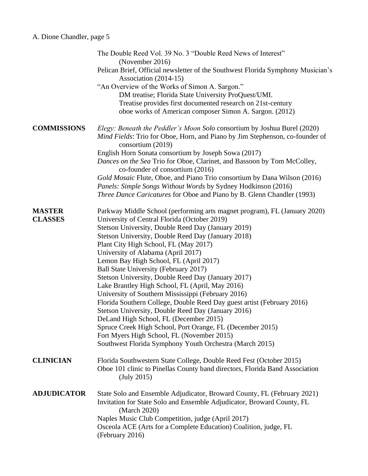|                                 | The Double Reed Vol. 39 No. 3 "Double Reed News of Interest"<br>(November 2016)<br>Pelican Brief, Official newsletter of the Southwest Florida Symphony Musician's<br>Association (2014-15)                                                                                                                                                                                                                                                                                                                                                                                                                                                                                                                                                                                                                                                                                                                            |
|---------------------------------|------------------------------------------------------------------------------------------------------------------------------------------------------------------------------------------------------------------------------------------------------------------------------------------------------------------------------------------------------------------------------------------------------------------------------------------------------------------------------------------------------------------------------------------------------------------------------------------------------------------------------------------------------------------------------------------------------------------------------------------------------------------------------------------------------------------------------------------------------------------------------------------------------------------------|
|                                 | "An Overview of the Works of Simon A. Sargon."<br>DM treatise; Florida State University ProQuest/UMI.<br>Treatise provides first documented research on 21st-century<br>oboe works of American composer Simon A. Sargon. (2012)                                                                                                                                                                                                                                                                                                                                                                                                                                                                                                                                                                                                                                                                                        |
| <b>COMMISSIONS</b>              | Elegy: Beneath the Peddler's Moon Solo consortium by Joshua Burel (2020)<br><i>Mind Fields:</i> Trio for Oboe, Horn, and Piano by Jim Stephenson, co-founder of<br>consortium (2019)<br>English Horn Sonata consortium by Joseph Sowa (2017)<br>Dances on the Sea Trio for Oboe, Clarinet, and Bassoon by Tom McColley,<br>co-founder of consortium (2016)<br>Gold Mosaic Flute, Oboe, and Piano Trio consortium by Dana Wilson (2016)                                                                                                                                                                                                                                                                                                                                                                                                                                                                                 |
|                                 | Panels: Simple Songs Without Words by Sydney Hodkinson (2016)<br>Three Dance Caricatures for Oboe and Piano by B. Glenn Chandler (1993)                                                                                                                                                                                                                                                                                                                                                                                                                                                                                                                                                                                                                                                                                                                                                                                |
| <b>MASTER</b><br><b>CLASSES</b> | Parkway Middle School (performing arts magnet program), FL (January 2020)<br>University of Central Florida (October 2019)<br>Stetson University, Double Reed Day (January 2019)<br>Stetson University, Double Reed Day (January 2018)<br>Plant City High School, FL (May 2017)<br>University of Alabama (April 2017)<br>Lemon Bay High School, FL (April 2017)<br>Ball State University (February 2017)<br>Stetson University, Double Reed Day (January 2017)<br>Lake Brantley High School, FL (April, May 2016)<br>University of Southern Mississippi (February 2016)<br>Florida Southern College, Double Reed Day guest artist (February 2016)<br>Stetson University, Double Reed Day (January 2016)<br>DeLand High School, FL (December 2015)<br>Spruce Creek High School, Port Orange, FL (December 2015)<br>Fort Myers High School, FL (November 2015)<br>Southwest Florida Symphony Youth Orchestra (March 2015) |
| <b>CLINICIAN</b>                | Florida Southwestern State College, Double Reed Fest (October 2015)<br>Oboe 101 clinic to Pinellas County band directors, Florida Band Association<br>(July 2015)                                                                                                                                                                                                                                                                                                                                                                                                                                                                                                                                                                                                                                                                                                                                                      |
| <b>ADJUDICATOR</b>              | State Solo and Ensemble Adjudicator, Broward County, FL (February 2021)<br>Invitation for State Solo and Ensemble Adjudicator, Broward County, FL<br>(March 2020)<br>Naples Music Club Competition, judge (April 2017)<br>Osceola ACE (Arts for a Complete Education) Coalition, judge, FL<br>(February 2016)                                                                                                                                                                                                                                                                                                                                                                                                                                                                                                                                                                                                          |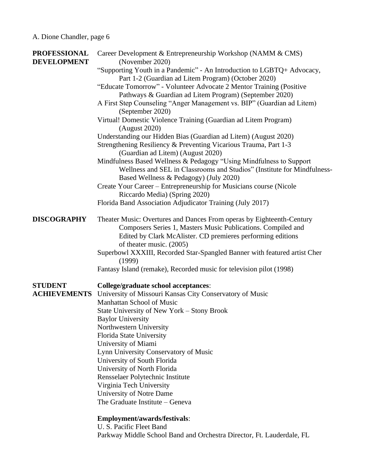| <b>PROFESSIONAL</b> | Career Development & Entrepreneurship Workshop (NAMM & CMS)                                                                           |
|---------------------|---------------------------------------------------------------------------------------------------------------------------------------|
| <b>DEVELOPMENT</b>  | (November 2020)                                                                                                                       |
|                     | "Supporting Youth in a Pandemic" - An Introduction to LGBTQ+ Advocacy,                                                                |
|                     | Part 1-2 (Guardian ad Litem Program) (October 2020)                                                                                   |
|                     | "Educate Tomorrow" - Volunteer Advocate 2 Mentor Training (Positive                                                                   |
|                     | Pathways & Guardian ad Litem Program) (September 2020)                                                                                |
|                     | A First Step Counseling "Anger Management vs. BIP" (Guardian ad Litem)<br>(September 2020)                                            |
|                     | Virtual! Domestic Violence Training (Guardian ad Litem Program)                                                                       |
|                     | (August 2020)                                                                                                                         |
|                     | Understanding our Hidden Bias (Guardian ad Litem) (August 2020)                                                                       |
|                     | Strengthening Resiliency & Preventing Vicarious Trauma, Part 1-3<br>(Guardian ad Litem) (August 2020)                                 |
|                     | Mindfulness Based Wellness & Pedagogy "Using Mindfulness to Support                                                                   |
|                     | Wellness and SEL in Classrooms and Studios" (Institute for Mindfulness-                                                               |
|                     | Based Wellness & Pedagogy) (July 2020)                                                                                                |
|                     | Create Your Career – Entrepreneurship for Musicians course (Nicole                                                                    |
|                     | Riccardo Media) (Spring 2020)                                                                                                         |
|                     | Florida Band Association Adjudicator Training (July 2017)                                                                             |
| <b>DISCOGRAPHY</b>  | Theater Music: Overtures and Dances From operas by Eighteenth-Century<br>Composers Series 1, Masters Music Publications. Compiled and |
|                     | Edited by Clark McAlister. CD premieres performing editions                                                                           |
|                     | of theater music. (2005)                                                                                                              |
|                     | Superbowl XXXIII, Recorded Star-Spangled Banner with featured artist Cher                                                             |
|                     | (1999)                                                                                                                                |
|                     | Fantasy Island (remake), Recorded music for television pilot (1998)                                                                   |
| <b>STUDENT</b>      | <b>College/graduate school acceptances:</b>                                                                                           |
| <b>ACHIEVEMENTS</b> | University of Missouri Kansas City Conservatory of Music                                                                              |
|                     | <b>Manhattan School of Music</b>                                                                                                      |
|                     | State University of New York - Stony Brook                                                                                            |
|                     | <b>Baylor University</b>                                                                                                              |
|                     | Northwestern University                                                                                                               |
|                     | Florida State University                                                                                                              |
|                     | University of Miami                                                                                                                   |
|                     | Lynn University Conservatory of Music                                                                                                 |
|                     | University of South Florida                                                                                                           |
|                     | University of North Florida                                                                                                           |
|                     | Rensselaer Polytechnic Institute                                                                                                      |
|                     | Virginia Tech University                                                                                                              |
|                     | University of Notre Dame                                                                                                              |
|                     | The Graduate Institute – Geneva                                                                                                       |
|                     | Employment/awards/festivals:                                                                                                          |
|                     | U. S. Pacific Fleet Band                                                                                                              |
|                     | Parkway Middle School Band and Orchestra Director, Ft. Lauderdale, FL                                                                 |
|                     |                                                                                                                                       |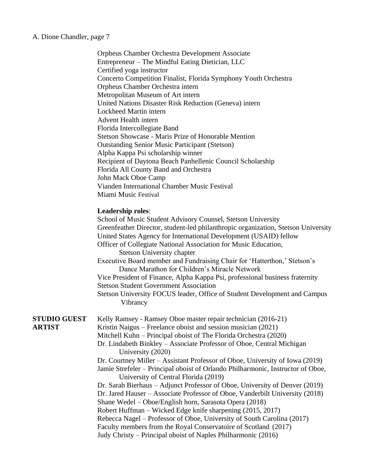A. Dione Chandler, page 7

Orpheus Chamber Orchestra Development Associate Entrepreneur – The Mindful Eating Dietician, LLC Certified yoga instructor Concerto Competition Finalist, Florida Symphony Youth Orchestra Orpheus Chamber Orchestra intern Metropolitan Museum of Art intern United Nations Disaster Risk Reduction (Geneva) intern Lockheed Martin intern Advent Health intern Florida Intercollegiate Band Stetson Showcase - Maris Prize of Honorable Mention Outstanding Senior Music Participant (Stetson) Alpha Kappa Psi scholarship winner Recipient of Daytona Beach Panhellenic Council Scholarship Florida All County Band and Orchestra John Mack Oboe Camp Vianden International Chamber Music Festival Miami Music Festival

#### **Leadership roles**:

|                     | School of Music Student Advisory Counsel, Stetson University<br>Greenfeather Director, student-led philanthropic organization, Stetson University |
|---------------------|---------------------------------------------------------------------------------------------------------------------------------------------------|
|                     | United States Agency for International Development (USAID) fellow                                                                                 |
|                     | Officer of Collegiate National Association for Music Education,                                                                                   |
|                     | <b>Stetson University chapter</b>                                                                                                                 |
|                     | Executive Board member and Fundraising Chair for 'Hatterthon,' Stetson's<br>Dance Marathon for Children's Miracle Network                         |
|                     | Vice President of Finance, Alpha Kappa Psi, professional business fraternity<br><b>Stetson Student Government Association</b>                     |
|                     | Stetson University FOCUS leader, Office of Student Development and Campus<br>Vibrancy                                                             |
| <b>STUDIO GUEST</b> | Kelly Ramsey - Ramsey Oboe master repair technician (2016-21)                                                                                     |
| <b>ARTIST</b>       | Kristin Naigus - Freelance oboist and session musician (2021)                                                                                     |
|                     | Mitchell Kuhn – Principal oboist of The Florida Orchestra (2020)                                                                                  |
|                     | Dr. Lindabeth Binkley – Associate Professor of Oboe, Central Michigan<br>University (2020)                                                        |
|                     | Dr. Courtney Miller – Assistant Professor of Oboe, University of Iowa (2019)                                                                      |
|                     | Jamie Strefeler - Principal oboist of Orlando Philharmonic, Instructor of Oboe,<br>University of Central Florida (2019)                           |
|                     | Dr. Sarah Bierhaus – Adjunct Professor of Oboe, University of Denver (2019)                                                                       |
|                     | Dr. Jared Hauser – Associate Professor of Oboe, Vanderbilt University (2018)                                                                      |
|                     | Shane Wedel – Oboe/English horn, Sarasota Opera (2018)                                                                                            |
|                     | Robert Huffman – Wicked Edge knife sharpening (2015, 2017)                                                                                        |
|                     | Rebecca Nagel - Professor of Oboe, University of South Carolina (2017)                                                                            |
|                     | Faculty members from the Royal Conservatoire of Scotland (2017)                                                                                   |
|                     | Judy Christy – Principal oboist of Naples Philharmonic (2016)                                                                                     |
|                     |                                                                                                                                                   |